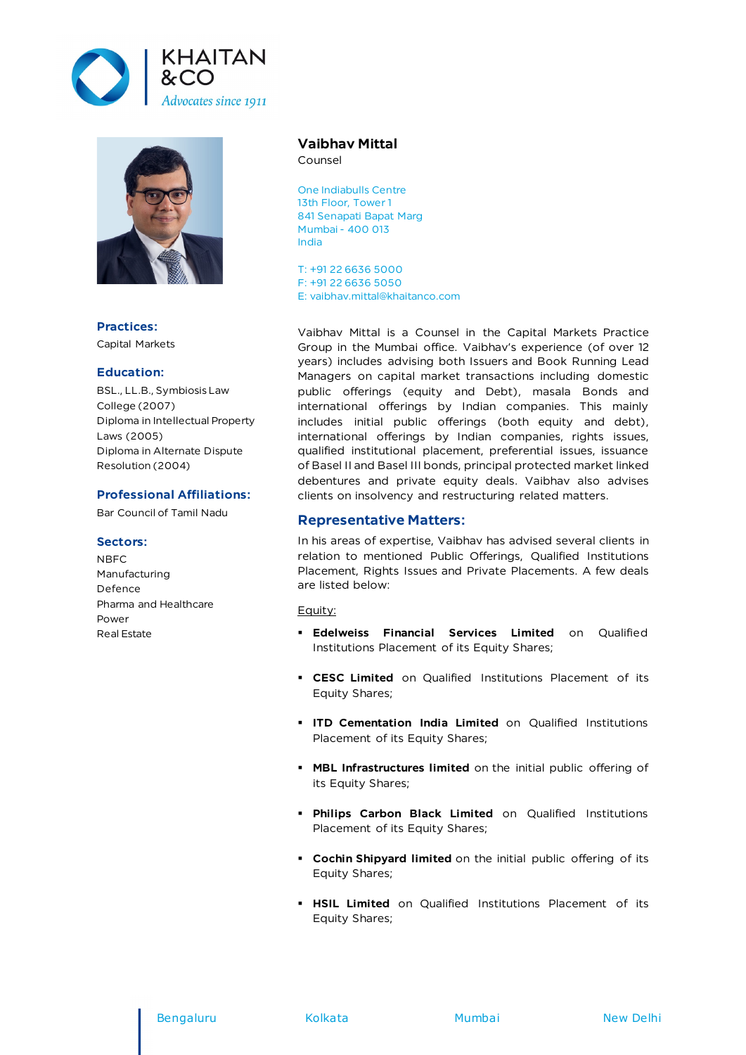



**Practices:** Capital Markets

### **Education:**

BSL., LL.B., Symbiosis Law College (2007) Diploma in Intellectual Property Laws (2005) Diploma in Alternate Dispute Resolution (2004)

#### **Professional Affiliations:**

Bar Council of Tamil Nadu

## **Sectors:**

NBFC Manufacturing Defence Pharma and Healthcare Power Real Estate

# **Vaibhav Mittal**

Counsel

One Indiabulls Centre 13th Floor, Tower 1 841 Senapati Bapat Marg Mumbai - 400 013 India

T: +91 22 6636 5000 F: +91 22 6636 5050 E: vaibhav.mittal@khaitanco.com

Vaibhav Mittal is a Counsel in the Capital Markets Practice Group in the Mumbai office. Vaibhav's experience (of over 12 years) includes advising both Issuers and Book Running Lead Managers on capital market transactions including domestic public offerings (equity and Debt), masala Bonds and international offerings by Indian companies. This mainly includes initial public offerings (both equity and debt), international offerings by Indian companies, rights issues, qualified institutional placement, preferential issues, issuance of Basel II and Basel III bonds, principal protected market linked debentures and private equity deals. Vaibhav also advises clients on insolvency and restructuring related matters.

# **Representative Matters:**

In his areas of expertise, Vaibhav has advised several clients in relation to mentioned Public Offerings, Qualified Institutions Placement, Rights Issues and Private Placements. A few deals are listed below:

Equity:

- **Edelweiss Financial Services Limited** on Qualified Institutions Placement of its Equity Shares;
- **CESC Limited** on Qualified Institutions Placement of its Equity Shares;
- **ITD Cementation India Limited** on Qualified Institutions Placement of its Equity Shares;
- **MBL Infrastructures limited** on the initial public offering of its Equity Shares;
- **Philips Carbon Black Limited** on Qualified Institutions Placement of its Equity Shares;
- **Cochin Shipyard limited** on the initial public offering of its Equity Shares;
- **HSIL Limited** on Qualified Institutions Placement of its Equity Shares;

#### Bengaluru Kolkata Mumbai New Delhi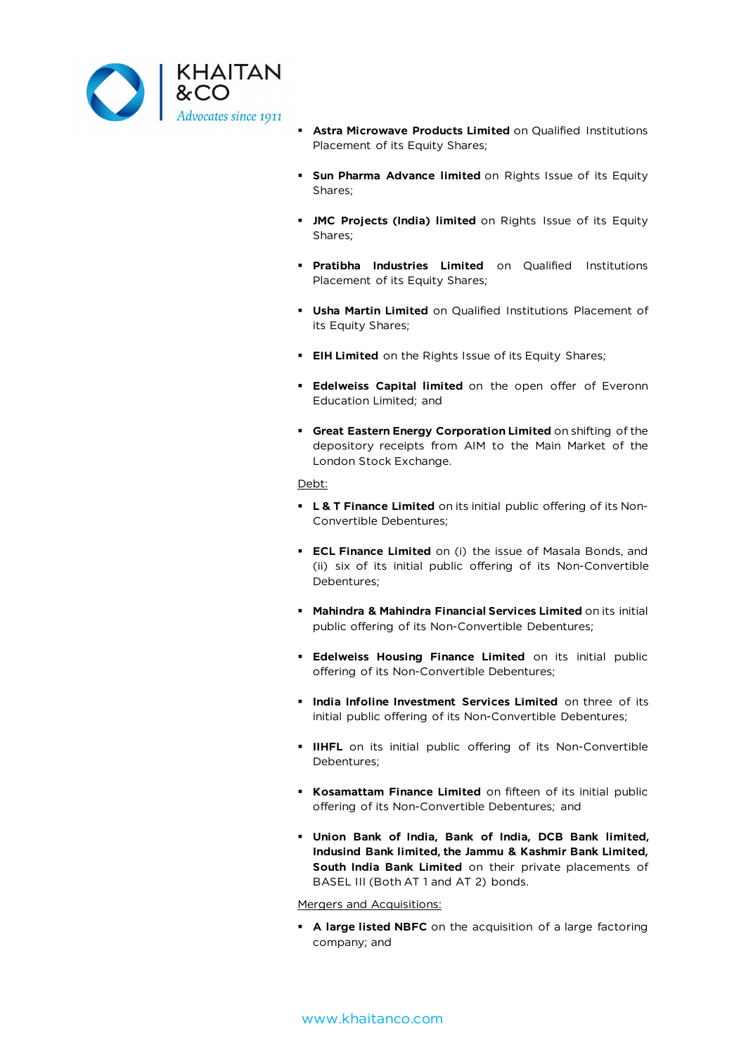

- **Astra Microwave Products Limited** on Qualified Institutions Placement of its Equity Shares;
- **Sun Pharma Advance limited** on Rights Issue of its Equity Shares;
- **JMC Projects (India) limited** on Rights Issue of its Equity Shares;
- **Pratibha Industries Limited** on Qualified Institutions Placement of its Equity Shares;
- **Usha Martin Limited** on Qualified Institutions Placement of its Equity Shares;
- **EIH Limited** on the Rights Issue of its Equity Shares;
- **Edelweiss Capital limited** on the open offer of Everonn Education Limited; and
- **Great Eastern Energy Corporation Limited** on shifting of the depository receipts from AIM to the Main Market of the London Stock Exchange.

#### Debt:

- **L & T Finance Limited** on its initial public offering of its Non-Convertible Debentures;
- **ECL Finance Limited** on (i) the issue of Masala Bonds, and (ii) six of its initial public offering of its Non-Convertible Debentures;
- **Mahindra & Mahindra Financial Services Limited** on its initial public offering of its Non-Convertible Debentures;
- **Edelweiss Housing Finance Limited** on its initial public offering of its Non-Convertible Debentures;
- **India Infoline Investment Services Limited** on three of its initial public offering of its Non-Convertible Debentures;
- **IIHFL** on its initial public offering of its Non-Convertible Debentures;
- **Kosamattam Finance Limited** on fifteen of its initial public offering of its Non-Convertible Debentures; and
- **Union Bank of India, Bank of India, DCB Bank limited, Indusind Bank limited, the Jammu & Kashmir Bank Limited, South India Bank Limited** on their private placements of BASEL III (Both AT 1 and AT 2) bonds.

## Mergers and Acquisitions:

 **A large listed NBFC** on the acquisition of a large factoring company; and